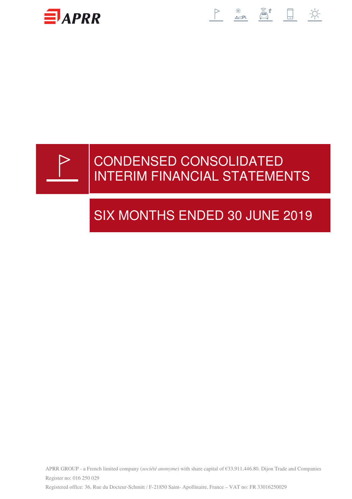

# 



# CONDENSED CONSOLIDATED INTERIM FINANCIAL STATEMENTS

# SIX MONTHS ENDED 30 JUNE 2019

APRR GROUP - a French limited company (*société anonyme*) with share capital of €33,911,446.80. Dijon Trade and Companies Register no: 016 250 029 Registered office: 36, Rue du Docteur-Schmitt / F-21850 Saint- Apollinaire, France – VAT no: FR 33016250029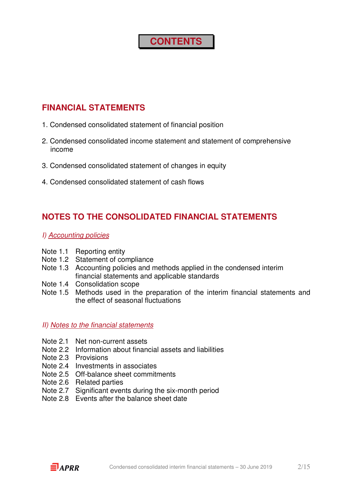### **CONTENTS**

### **FINANCIAL STATEMENTS**

- 1. Condensed consolidated statement of financial position
- 2. Condensed consolidated income statement and statement of comprehensive income
- 3. Condensed consolidated statement of changes in equity
- 4. Condensed consolidated statement of cash flows

### **NOTES TO THE CONSOLIDATED FINANCIAL STATEMENTS**

- I) Accounting policies
- Note 1.1 Reporting entity
- Note 1.2 Statement of compliance
- Note 1.3 Accounting policies and methods applied in the condensed interim financial statements and applicable standards
- Note 1.4 Consolidation scope
- Note 1.5 Methods used in the preparation of the interim financial statements and the effect of seasonal fluctuations

#### II) Notes to the financial statements

- Note 2.1 Net non-current assets
- Note 2.2 Information about financial assets and liabilities
- Note 2.3 Provisions
- Note 2.4 Investments in associates
- Note 2.5 Off-balance sheet commitments
- Note 2.6 Related parties
- Note 2.7 Significant events during the six-month period
- Note 2.8 Events after the balance sheet date

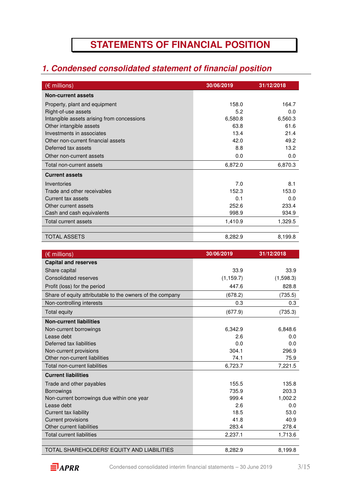## **STATEMENTS OF FINANCIAL POSITION**

### **1. Condensed consolidated statement of financial position**

| $(\epsilon$ millions)                      | 30/06/2019 | 31/12/2018 |
|--------------------------------------------|------------|------------|
| <b>Non-current assets</b>                  |            |            |
| Property, plant and equipment              | 158.0      | 164.7      |
| Right-of-use assets                        | 5.2        | 0.0        |
| Intangible assets arising from concessions | 6,580.8    | 6,560.3    |
| Other intangible assets                    | 63.8       | 61.6       |
| Investments in associates                  | 13.4       | 21.4       |
| Other non-current financial assets         | 42.0       | 49.2       |
| Deferred tax assets                        | 8.8        | 13.2       |
| Other non-current assets                   | 0.0        | 0.0        |
| Total non-current assets                   | 6,872.0    | 6,870.3    |
| <b>Current assets</b>                      |            |            |
| Inventories                                | 7.0        | 8.1        |
| Trade and other receivables                | 152.3      | 153.0      |
| Current tax assets                         | 0.1        | 0.0        |
| Other current assets                       | 252.6      | 233.4      |
| Cash and cash equivalents                  | 998.9      | 934.9      |
| Total current assets                       | 1,410.9    | 1,329.5    |
|                                            |            |            |
| <b>TOTAL ASSETS</b>                        | 8,282.9    | 8,199.8    |

| $(\epsilon$ millions)                                     | 30/06/2019 | 31/12/2018 |
|-----------------------------------------------------------|------------|------------|
| <b>Capital and reserves</b>                               |            |            |
| Share capital                                             | 33.9       | 33.9       |
| <b>Consolidated reserves</b>                              | (1, 159.7) | (1,598.3)  |
| Profit (loss) for the period                              | 447.6      | 828.8      |
| Share of equity attributable to the owners of the company | (678.2)    | (735.5)    |
| Non-controlling interests                                 | 0.3        | 0.3        |
| Total equity                                              | (677.9)    | (735.3)    |
| <b>Non-current liabilities</b>                            |            |            |
| Non-current borrowings                                    | 6,342.9    | 6,848.6    |
| Lease debt                                                | 2.6        | 0.0        |
| Deferred tax liabilities                                  | 0.0        | 0.0        |
| Non-current provisions                                    | 304.1      | 296.9      |
| Other non-current liabilities                             | 74.1       | 75.9       |
| Total non-current liabilities                             | 6,723.7    | 7,221.5    |
| <b>Current liabilities</b>                                |            |            |
| Trade and other payables                                  | 155.5      | 135.8      |
| <b>Borrowings</b>                                         | 735.9      | 203.3      |
| Non-current borrowings due within one year                | 999.4      | 1,002.2    |
| Lease debt                                                | 2.6        | 0.0        |
| Current tax liability                                     | 18.5       | 53.0       |
| <b>Current provisions</b>                                 | 41.8       | 40.9       |
| Other current liabilities                                 | 283.4      | 278.4      |
| <b>Total current liabilities</b>                          | 2,237.1    | 1,713.6    |
|                                                           |            |            |
| TOTAL SHAREHOLDERS' EQUITY AND LIABILITIES                | 8,282.9    | 8,199.8    |

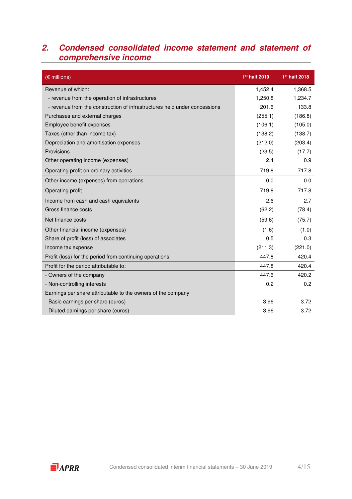### **2. Condensed consolidated income statement and statement of comprehensive income**

| (€ millions)                                                              | 1 <sup>st</sup> half 2019 | 1 <sup>st</sup> half 2018 |
|---------------------------------------------------------------------------|---------------------------|---------------------------|
| Revenue of which:                                                         | 1,452.4                   | 1,368.5                   |
| - revenue from the operation of infrastructures                           | 1,250.8                   | 1,234.7                   |
| - revenue from the construction of infrastructures held under concessions | 201.6                     | 133.8                     |
| Purchases and external charges                                            | (255.1)                   | (186.8)                   |
| Employee benefit expenses                                                 | (106.1)                   | (105.0)                   |
| Taxes (other than income tax)                                             | (138.2)                   | (138.7)                   |
| Depreciation and amortisation expenses                                    | (212.0)                   | (203.4)                   |
| Provisions                                                                | (23.5)                    | (17.7)                    |
| Other operating income (expenses)                                         | 2.4                       | 0.9                       |
| Operating profit on ordinary activities                                   | 719.8                     | 717.8                     |
| Other income (expenses) from operations                                   | 0.0                       | 0.0                       |
| Operating profit                                                          | 719.8                     | 717.8                     |
| Income from cash and cash equivalents                                     | 2.6                       | 2.7                       |
| Gross finance costs                                                       | (62.2)                    | (78.4)                    |
| Net finance costs                                                         | (59.6)                    | (75.7)                    |
| Other financial income (expenses)                                         | (1.6)                     | (1.0)                     |
| Share of profit (loss) of associates                                      | 0.5                       | 0.3                       |
| Income tax expense                                                        | (211.3)                   | (221.0)                   |
| Profit (loss) for the period from continuing operations                   | 447.8                     | 420.4                     |
| Profit for the period attributable to:                                    | 447.8                     | 420.4                     |
| - Owners of the company                                                   | 447.6                     | 420.2                     |
| - Non-controlling interests                                               | 0.2                       | 0.2                       |
| Earnings per share attributable to the owners of the company              |                           |                           |
| - Basic earnings per share (euros)                                        | 3.96                      | 3.72                      |
| - Diluted earnings per share (euros)                                      | 3.96                      | 3.72                      |

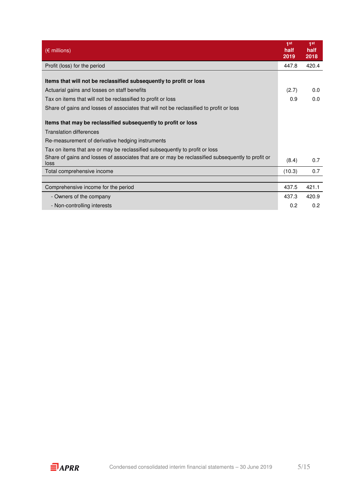| $(\epsilon$ millions)                                                                                     | 1 <sup>st</sup><br>half<br>2019 | 1 <sup>st</sup><br>half<br>2018 |
|-----------------------------------------------------------------------------------------------------------|---------------------------------|---------------------------------|
| Profit (loss) for the period                                                                              | 447.8                           | 420.4                           |
| Items that will not be reclassified subsequently to profit or loss                                        |                                 |                                 |
| Actuarial gains and losses on staff benefits                                                              | (2.7)                           | 0.0                             |
| Tax on items that will not be reclassified to profit or loss                                              | 0.9                             | 0.0                             |
| Share of gains and losses of associates that will not be reclassified to profit or loss                   |                                 |                                 |
| Items that may be reclassified subsequently to profit or loss                                             |                                 |                                 |
| <b>Translation differences</b>                                                                            |                                 |                                 |
| Re-measurement of derivative hedging instruments                                                          |                                 |                                 |
| Tax on items that are or may be reclassified subsequently to profit or loss                               |                                 |                                 |
| Share of gains and losses of associates that are or may be reclassified subsequently to profit or<br>loss | (8.4)                           | 0.7                             |
| Total comprehensive income                                                                                | (10.3)                          | 0.7                             |
|                                                                                                           |                                 |                                 |
| Comprehensive income for the period                                                                       | 437.5                           | 421.1                           |
| - Owners of the company                                                                                   | 437.3                           | 420.9                           |
| - Non-controlling interests                                                                               | 0.2                             | 0.2                             |

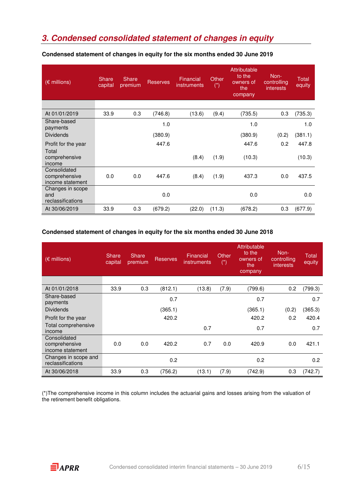### **3. Condensed consolidated statement of changes in equity**

| (€ millions)                                      | <b>Share</b><br>capital | Share<br>premium | <b>Reserves</b> | Financial<br>instruments | Other<br>$(\dot{a})$ | <b>Attributable</b><br>to the<br>owners of<br>the<br>company | Non-<br>controlling<br><i>interests</i> | Total<br>equity |
|---------------------------------------------------|-------------------------|------------------|-----------------|--------------------------|----------------------|--------------------------------------------------------------|-----------------------------------------|-----------------|
|                                                   |                         |                  |                 |                          |                      |                                                              |                                         |                 |
| At 01/01/2019                                     | 33.9                    | 0.3              | (746.8)         | (13.6)                   | (9.4)                | (735.5)                                                      | 0.3                                     | (735.3)         |
| Share-based<br>payments                           |                         |                  | 1.0             |                          |                      | 1.0                                                          |                                         | 1.0             |
| <b>Dividends</b>                                  |                         |                  | (380.9)         |                          |                      | (380.9)                                                      | (0.2)                                   | (381.1)         |
| Profit for the year<br>Total                      |                         |                  | 447.6           |                          |                      | 447.6                                                        | 0.2                                     | 447.8           |
| comprehensive<br>income                           |                         |                  |                 | (8.4)                    | (1.9)                | (10.3)                                                       |                                         | (10.3)          |
| Consolidated<br>comprehensive<br>income statement | 0.0                     | 0.0              | 447.6           | (8.4)                    | (1.9)                | 437.3                                                        | 0.0                                     | 437.5           |
| Changes in scope<br>and<br>reclassifications      |                         |                  | 0.0             |                          |                      | 0.0                                                          |                                         | 0.0             |
| At 30/06/2019                                     | 33.9                    | 0.3              | (679.2)         | (22.0)                   | (11.3)               | (678.2)                                                      | 0.3                                     | (677.9)         |

#### **Condensed statement of changes in equity for the six months ended 30 June 2019**

#### **Condensed statement of changes in equity for the six months ended 30 June 2018**

| (€ millions)                                      | Share<br>capital | Share<br>premium | <b>Reserves</b> | Financial<br><i>instruments</i> | Other<br>$(\dot{a})$ | Attributable<br>to the<br>owners of<br>the<br>company | Non-<br>controlling<br><i>interests</i> | <b>Total</b><br>equity |
|---------------------------------------------------|------------------|------------------|-----------------|---------------------------------|----------------------|-------------------------------------------------------|-----------------------------------------|------------------------|
|                                                   |                  |                  |                 |                                 |                      |                                                       |                                         |                        |
| At 01/01/2018                                     | 33.9             | 0.3              | (812.1)         | (13.8)                          | (7.9)                | (799.6)                                               | 0.2                                     | (799.3)                |
| Share-based<br>payments                           |                  |                  | 0.7             |                                 |                      | 0.7                                                   |                                         | 0.7                    |
| <b>Dividends</b>                                  |                  |                  | (365.1)         |                                 |                      | (365.1)                                               | (0.2)                                   | (365.3)                |
| Profit for the year                               |                  |                  | 420.2           |                                 |                      | 420.2                                                 | 0.2                                     | 420.4                  |
| Total comprehensive<br>income                     |                  |                  |                 | 0.7                             |                      | 0.7                                                   |                                         | 0.7                    |
| Consolidated<br>comprehensive<br>income statement | 0.0              | 0.0              | 420.2           | 0.7                             | 0.0                  | 420.9                                                 | 0.0                                     | 421.1                  |
| Changes in scope and<br>reclassifications         |                  |                  | 0.2             |                                 |                      | 0.2                                                   |                                         | 0.2                    |
| At 30/06/2018                                     | 33.9             | 0.3              | (756.2)         | (13.1)                          | (7.9)                | (742.9)                                               | 0.3                                     | (742.7)                |

(\*)The comprehensive income in this column includes the actuarial gains and losses arising from the valuation of the retirement benefit obligations.

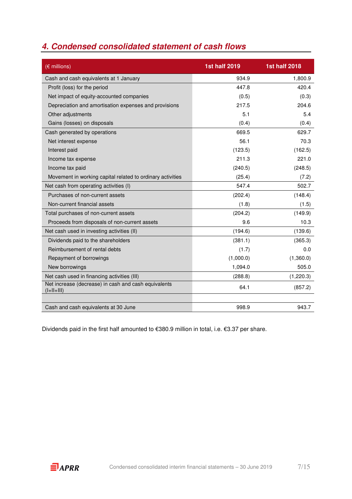### **4. Condensed consolidated statement of cash flows**

| (€ millions)                                                         | <b>1st half 2019</b> | <b>1st half 2018</b> |
|----------------------------------------------------------------------|----------------------|----------------------|
| Cash and cash equivalents at 1 January                               | 934.9                | 1,800.9              |
| Profit (loss) for the period                                         | 447.8                | 420.4                |
| Net impact of equity-accounted companies                             | (0.5)                | (0.3)                |
| Depreciation and amortisation expenses and provisions                | 217.5                | 204.6                |
| Other adjustments                                                    | 5.1                  | 5.4                  |
| Gains (losses) on disposals                                          | (0.4)                | (0.4)                |
| Cash generated by operations                                         | 669.5                | 629.7                |
| Net interest expense                                                 | 56.1                 | 70.3                 |
| Interest paid                                                        | (123.5)              | (162.5)              |
| Income tax expense                                                   | 211.3                | 221.0                |
| Income tax paid                                                      | (240.5)              | (248.5)              |
| Movement in working capital related to ordinary activities           | (25.4)               | (7.2)                |
| Net cash from operating activities (I)                               | 547.4                | 502.7                |
| Purchases of non-current assets                                      | (202.4)              | (148.4)              |
| Non-current financial assets                                         | (1.8)                | (1.5)                |
| Total purchases of non-current assets                                | (204.2)              | (149.9)              |
| Proceeds from disposals of non-current assets                        | 9.6                  | 10.3                 |
| Net cash used in investing activities (II)                           | (194.6)              | (139.6)              |
| Dividends paid to the shareholders                                   | (381.1)              | (365.3)              |
| Reimbursement of rental debts                                        | (1.7)                | 0.0                  |
| Repayment of borrowings                                              | (1,000.0)            | (1,360.0)            |
| New borrowings                                                       | 1,094.0              | 505.0                |
| Net cash used in financing activities (III)                          | (288.8)              | (1,220.3)            |
| Net increase (decrease) in cash and cash equivalents<br>$(l+ll+lll)$ | 64.1                 | (857.2)              |
| Cash and cash equivalents at 30 June                                 | 998.9                | 943.7                |

Dividends paid in the first half amounted to €380.9 million in total, i.e. €3.37 per share.

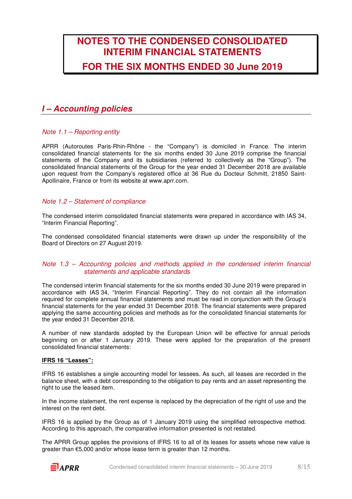## **NOTES TO THE CONDENSED CONSOLIDATED INTERIM FINANCIAL STATEMENTS FOR THE SIX MONTHS ENDED 30 June 2019**

### **I – Accounting policies**

#### Note 1.1 – Reporting entity

APRR (Autoroutes Paris-Rhin-Rhône - the "Company") is domiciled in France. The interim consolidated financial statements for the six months ended 30 June 2019 comprise the financial statements of the Company and its subsidiaries (referred to collectively as the "Group"). The consolidated financial statements of the Group for the year ended 31 December 2018 are available upon request from the Company's registered office at 36 Rue du Docteur Schmitt, 21850 Saint-Apollinaire, France or from its website at www.aprr.com.

#### Note 1.2 – Statement of compliance

The condensed interim consolidated financial statements were prepared in accordance with IAS 34, "Interim Financial Reporting".

The condensed consolidated financial statements were drawn up under the responsibility of the Board of Directors on 27 August 2019.

#### Note 1.3 – Accounting policies and methods applied in the condensed interim financial statements and applicable standards

The condensed interim financial statements for the six months ended 30 June 2019 were prepared in accordance with IAS 34, "Interim Financial Reporting". They do not contain all the information required for complete annual financial statements and must be read in conjunction with the Group's financial statements for the year ended 31 December 2018. The financial statements were prepared applying the same accounting policies and methods as for the consolidated financial statements for the year ended 31 December 2018.

A number of new standards adopted by the European Union will be effective for annual periods beginning on or after 1 January 2019. These were applied for the preparation of the present consolidated financial statements:

#### **IFRS 16 "Leases":**

IFRS 16 establishes a single accounting model for lessees. As such, all leases are recorded in the balance sheet, with a debt corresponding to the obligation to pay rents and an asset representing the right to use the leased item.

In the income statement, the rent expense is replaced by the depreciation of the right of use and the interest on the rent debt.

IFRS 16 is applied by the Group as of 1 January 2019 using the simplified retrospective method. According to this approach, the comparative information presented is not restated.

The APRR Group applies the provisions of IFRS 16 to all of its leases for assets whose new value is greater than €5,000 and/or whose lease term is greater than 12 months.

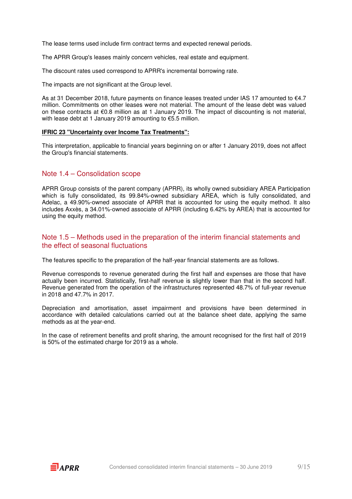The lease terms used include firm contract terms and expected renewal periods.

The APRR Group's leases mainly concern vehicles, real estate and equipment.

The discount rates used correspond to APRR's incremental borrowing rate.

The impacts are not significant at the Group level.

As at 31 December 2018, future payments on finance leases treated under IAS 17 amounted to €4.7 million. Commitments on other leases were not material. The amount of the lease debt was valued on these contracts at €0.8 million as at 1 January 2019. The impact of discounting is not material, with lease debt at 1 January 2019 amounting to €5.5 million.

#### **IFRIC 23 "Uncertainty over Income Tax Treatments":**

This interpretation, applicable to financial years beginning on or after 1 January 2019, does not affect the Group's financial statements.

#### Note 1.4 – Consolidation scope

APRR Group consists of the parent company (APRR), its wholly owned subsidiary AREA Participation which is fully consolidated, its 99.84%-owned subsidiary AREA, which is fully consolidated, and Adelac, a 49.90%-owned associate of APRR that is accounted for using the equity method. It also includes Axxès, a 34.01%-owned associate of APRR (including 6.42% by AREA) that is accounted for using the equity method.

#### Note 1.5 – Methods used in the preparation of the interim financial statements and the effect of seasonal fluctuations

The features specific to the preparation of the half-year financial statements are as follows.

Revenue corresponds to revenue generated during the first half and expenses are those that have actually been incurred. Statistically, first-half revenue is slightly lower than that in the second half. Revenue generated from the operation of the infrastructures represented 48.7% of full-year revenue in 2018 and 47.7% in 2017.

Depreciation and amortisation, asset impairment and provisions have been determined in accordance with detailed calculations carried out at the balance sheet date, applying the same methods as at the year-end.

In the case of retirement benefits and profit sharing, the amount recognised for the first half of 2019 is 50% of the estimated charge for 2019 as a whole.

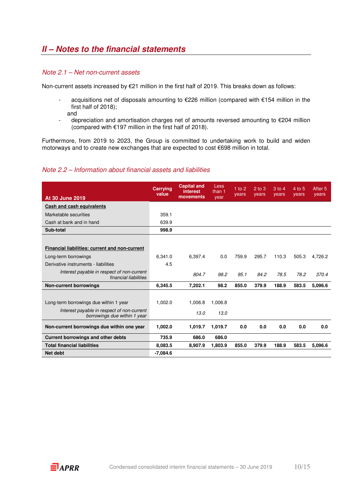#### Note 2.1 – Net non-current assets

Non-current assets increased by €21 million in the first half of 2019. This breaks down as follows:

- acquisitions net of disposals amounting to €226 million (compared with €154 million in the first half of 2018); and
- depreciation and amortisation charges net of amounts reversed amounting to €204 million (compared with  $€197$  million in the first half of 2018).

Furthermore, from 2019 to 2023, the Group is committed to undertaking work to build and widen motorways and to create new exchanges that are expected to cost €698 million in total.

#### Note 2.2 – Information about financial assets and liabilities

| <b>At 30 June 2019</b>                                                     | <b>Carrying</b><br>value | <b>Capital and</b><br><b>interest</b><br>movements | Less<br>than 1<br>vear | $1$ to 2<br>years | $2$ to $3$<br>years | 3 to 4<br>years | 4 to 5<br>years | After <sub>5</sub><br>years |
|----------------------------------------------------------------------------|--------------------------|----------------------------------------------------|------------------------|-------------------|---------------------|-----------------|-----------------|-----------------------------|
| Cash and cash equivalents                                                  |                          |                                                    |                        |                   |                     |                 |                 |                             |
| Marketable securities                                                      | 359.1                    |                                                    |                        |                   |                     |                 |                 |                             |
| Cash at bank and in hand                                                   | 639.9                    |                                                    |                        |                   |                     |                 |                 |                             |
| Sub-total                                                                  | 998.9                    |                                                    |                        |                   |                     |                 |                 |                             |
|                                                                            |                          |                                                    |                        |                   |                     |                 |                 |                             |
| Financial liabilities: current and non-current                             |                          |                                                    |                        |                   |                     |                 |                 |                             |
| Long-term borrowings                                                       | 6.341.0                  | 6.397.4                                            | 0.0                    | 759.9             | 295.7               | 110.3           | 505.3           | 4.726.2                     |
| Derivative instruments - liabilities                                       | 4.5                      |                                                    |                        |                   |                     |                 |                 |                             |
| Interest payable in respect of non-current<br>financial liabilities        |                          | 804.7                                              | 98.2                   | 95.1              | 84.2                | 78.5            | 78.2            | 370.4                       |
| <b>Non-current borrowings</b>                                              | 6.345.5                  | 7.202.1                                            | 98.2                   | 855.0             | 379.9               | 188.9           | 583.5           | 5.096.6                     |
|                                                                            |                          |                                                    |                        |                   |                     |                 |                 |                             |
| Long-term borrowings due within 1 year                                     | 1.002.0                  | 1,006.8                                            | 1,006.8                |                   |                     |                 |                 |                             |
| Interest payable in respect of non-current<br>borrowings due within 1 year |                          | 13.0                                               | 13.0                   |                   |                     |                 |                 |                             |
| Non-current borrowings due within one year                                 | 1,002.0                  | 1,019.7                                            | 1,019.7                | 0.0               | 0.0                 | 0.0             | 0.0             | 0.0                         |
| <b>Current borrowings and other debts</b>                                  | 735.9                    | 686.0                                              | 686.0                  |                   |                     |                 |                 |                             |
| <b>Total financial liabilities</b>                                         | 8,083.5                  | 8.907.9                                            | 1.803.9                | 855.0             | 379.9               | 188.9           | 583.5           | 5.096.6                     |
| Net debt                                                                   | $-7,084.6$               |                                                    |                        |                   |                     |                 |                 |                             |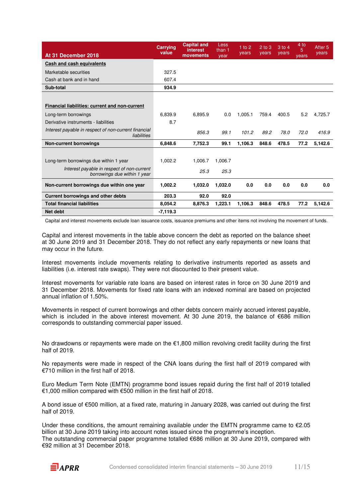| At 31 December 2018                                                        | <b>Carrying</b><br>value | <b>Capital and</b><br><b>interest</b><br>movements | Less<br>than 1<br>year | 1 to $2$<br>years | $2$ to $3$<br>years | 3 to 4<br>years | 4 to<br>5<br>years | After <sub>5</sub><br>vears |
|----------------------------------------------------------------------------|--------------------------|----------------------------------------------------|------------------------|-------------------|---------------------|-----------------|--------------------|-----------------------------|
| Cash and cash equivalents                                                  |                          |                                                    |                        |                   |                     |                 |                    |                             |
| Marketable securities                                                      | 327.5                    |                                                    |                        |                   |                     |                 |                    |                             |
| Cash at bank and in hand                                                   | 607.4                    |                                                    |                        |                   |                     |                 |                    |                             |
| Sub-total                                                                  | 934.9                    |                                                    |                        |                   |                     |                 |                    |                             |
|                                                                            |                          |                                                    |                        |                   |                     |                 |                    |                             |
| Financial liabilities: current and non-current                             |                          |                                                    |                        |                   |                     |                 |                    |                             |
| Long-term borrowings                                                       | 6.839.9                  | 6.895.9                                            | 0.0                    | 1.005.1           | 759.4               | 400.5           | 5.2                | 4.725.7                     |
| Derivative instruments - liabilities                                       | 8.7                      |                                                    |                        |                   |                     |                 |                    |                             |
| Interest payable in respect of non-current financial<br>liabilities        |                          | 856.3                                              | 99.1                   | 101.2             | 89.2                | 78.0            | 72.0               | 416.9                       |
| <b>Non-current borrowings</b>                                              | 6.848.6                  | 7,752.3                                            | 99.1                   | 1,106.3           | 848.6               | 478.5           | 77.2               | 5,142.6                     |
|                                                                            |                          |                                                    |                        |                   |                     |                 |                    |                             |
| Long-term borrowings due within 1 year                                     | 1,002.2                  | 1,006.7                                            | 1,006.7                |                   |                     |                 |                    |                             |
| Interest payable in respect of non-current<br>borrowings due within 1 year |                          | 25.3                                               | 25.3                   |                   |                     |                 |                    |                             |
| Non-current borrowings due within one year                                 | 1.002.2                  | 1,032.0                                            | 1,032.0                | 0.0               | 0.0                 | 0.0             | 0.0                | 0.0                         |
| Current borrowings and other debts                                         | 203.3                    | 92.0                                               | 92.0                   |                   |                     |                 |                    |                             |
| <b>Total financial liabilities</b>                                         | 8.054.2                  | 8,876.3                                            | 1.223.1                | 1,106.3           | 848.6               | 478.5           | 77.2               | 5,142.6                     |
| <b>Net debt</b>                                                            | $-7,119.3$               |                                                    |                        |                   |                     |                 |                    |                             |

Capital and interest movements exclude loan issuance costs, issuance premiums and other items not involving the movement of funds.

Capital and interest movements in the table above concern the debt as reported on the balance sheet at 30 June 2019 and 31 December 2018. They do not reflect any early repayments or new loans that may occur in the future.

Interest movements include movements relating to derivative instruments reported as assets and liabilities (i.e. interest rate swaps). They were not discounted to their present value.

Interest movements for variable rate loans are based on interest rates in force on 30 June 2019 and 31 December 2018. Movements for fixed rate loans with an indexed nominal are based on projected annual inflation of 1.50%.

Movements in respect of current borrowings and other debts concern mainly accrued interest payable, which is included in the above interest movement. At 30 June 2019, the balance of €686 million corresponds to outstanding commercial paper issued.

No drawdowns or repayments were made on the €1,800 million revolving credit facility during the first half of 2019.

No repayments were made in respect of the CNA loans during the first half of 2019 compared with €710 million in the first half of 2018.

Euro Medium Term Note (EMTN) programme bond issues repaid during the first half of 2019 totalled €1,000 million compared with €500 million in the first half of 2018.

A bond issue of €500 million, at a fixed rate, maturing in January 2028, was carried out during the first half of 2019.

Under these conditions, the amount remaining available under the EMTN programme came to  $\epsilon$ 2.05 billion at 30 June 2019 taking into account notes issued since the programme's inception. The outstanding commercial paper programme totalled €686 million at 30 June 2019, compared with €92 million at 31 December 2018.

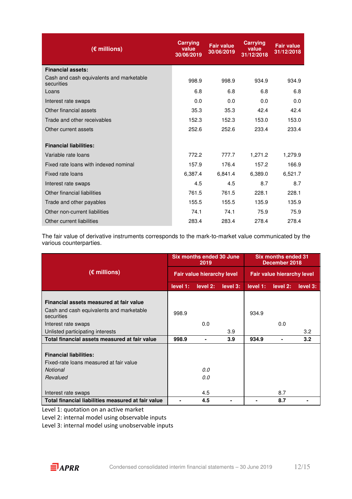| (€ millions)                                           | <b>Carrying</b><br>value<br>30/06/2019 | <b>Fair value</b><br>30/06/2019 | <b>Carrying</b><br>value<br>31/12/2018 | <b>Fair value</b><br>31/12/2018 |
|--------------------------------------------------------|----------------------------------------|---------------------------------|----------------------------------------|---------------------------------|
| <b>Financial assets:</b>                               |                                        |                                 |                                        |                                 |
| Cash and cash equivalents and marketable<br>securities | 998.9                                  | 998.9                           | 934.9                                  | 934.9                           |
| Loans                                                  | 6.8                                    | 6.8                             | 6.8                                    | 6.8                             |
| Interest rate swaps                                    | 0.0                                    | 0.0                             | 0.0                                    | 0.0                             |
| Other financial assets                                 | 35.3                                   | 35.3                            | 42.4                                   | 42.4                            |
| Trade and other receivables                            | 152.3                                  | 152.3                           | 153.0                                  | 153.0                           |
| Other current assets                                   | 252.6                                  | 252.6                           | 233.4                                  | 233.4                           |
| <b>Financial liabilities:</b>                          |                                        |                                 |                                        |                                 |
| Variable rate loans                                    | 772.2                                  | 777.7                           | 1,271.2                                | 1,279.9                         |
| Fixed rate loans with indexed nominal                  | 157.9                                  | 176.4                           | 157.2                                  | 166.9                           |
| Fixed rate loans                                       | 6,387.4                                | 6,841.4                         | 6,389.0                                | 6,521.7                         |
| Interest rate swaps                                    | 4.5                                    | 4.5                             | 8.7                                    | 8.7                             |
| Other financial liabilities                            | 761.5                                  | 761.5                           | 228.1                                  | 228.1                           |
| Trade and other payables                               | 155.5                                  | 155.5                           | 135.9                                  | 135.9                           |
| Other non-current liabilities                          | 74.1                                   | 74.1                            | 75.9                                   | 75.9                            |
| Other current liabilities                              | 283.4                                  | 283.4                           | 278.4                                  | 278.4                           |

The fair value of derivative instruments corresponds to the mark-to-market value communicated by the various counterparties.

|                                                                          |          | Six months ended 30 June<br>2019  |          | <b>Six months ended 31</b><br>December 2018 |                |                  |
|--------------------------------------------------------------------------|----------|-----------------------------------|----------|---------------------------------------------|----------------|------------------|
| $(E$ millions)                                                           |          | <b>Fair value hierarchy level</b> |          | <b>Fair value hierarchy level</b>           |                |                  |
|                                                                          | level 1: | level 2:                          | level 3: | level 1:                                    | level 2:       | level 3:         |
| Financial assets measured at fair value                                  |          |                                   |          |                                             |                |                  |
| Cash and cash equivalents and marketable<br>securities                   | 998.9    |                                   |          | 934.9                                       |                |                  |
| Interest rate swaps                                                      |          | 0.0                               |          |                                             | 0.0            |                  |
| Unlisted participating interests                                         |          |                                   | 3.9      |                                             |                | 3.2              |
| Total financial assets measured at fair value                            | 998.9    | $\blacksquare$                    | 3.9      | 934.9                                       | $\blacksquare$ | 3.2 <sub>2</sub> |
| <b>Financial liabilities:</b><br>Fixed-rate loans measured at fair value |          |                                   |          |                                             |                |                  |
| <b>Notional</b>                                                          |          | 0.0                               |          |                                             |                |                  |
| Revalued                                                                 |          | 0.0                               |          |                                             |                |                  |
| Interest rate swaps                                                      |          | 4.5                               |          |                                             | 8.7            |                  |
| Total financial liabilities measured at fair value                       |          | 4.5                               |          |                                             | 8.7            |                  |

Level 1: quotation on an active market

Level 2: internal model using observable inputs

Level 3: internal model using unobservable inputs

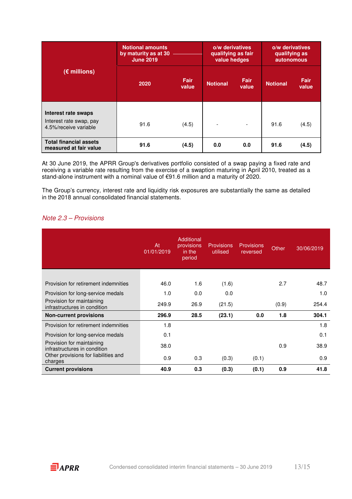|                                                                         | <b>Notional amounts</b><br>by maturity as at 30<br><b>June 2019</b> |                      | o/w derivatives<br>qualifying as fair<br>value hedges |                          | o/w derivatives<br>qualifying as<br>autonomous |                      |
|-------------------------------------------------------------------------|---------------------------------------------------------------------|----------------------|-------------------------------------------------------|--------------------------|------------------------------------------------|----------------------|
| $(E$ millions)                                                          | 2020                                                                | <b>Fair</b><br>value | <b>Notional</b>                                       | Fair<br>value            | <b>Notional</b>                                | <b>Fair</b><br>value |
| Interest rate swaps<br>Interest rate swap, pay<br>4.5%/receive variable | 91.6                                                                | (4.5)                |                                                       | $\overline{\phantom{0}}$ | 91.6                                           | (4.5)                |
| <b>Total financial assets</b><br>measured at fair value                 | 91.6                                                                | (4.5)                | 0.0                                                   | 0.0                      | 91.6                                           | (4.5)                |

At 30 June 2019, the APRR Group's derivatives portfolio consisted of a swap paying a fixed rate and receiving a variable rate resulting from the exercise of a swaption maturing in April 2010, treated as a stand-alone instrument with a nominal value of €91.6 million and a maturity of 2020.

The Group's currency, interest rate and liquidity risk exposures are substantially the same as detailed in the 2018 annual consolidated financial statements.

#### Note 2.3 – Provisions

|                                                           | At<br>01/01/2019 | Additional<br>provisions<br>in the<br>period | <b>Provisions</b><br>utilised | <b>Provisions</b><br>reversed | Other | 30/06/2019 |
|-----------------------------------------------------------|------------------|----------------------------------------------|-------------------------------|-------------------------------|-------|------------|
|                                                           |                  |                                              |                               |                               |       |            |
| Provision for retirement indemnities                      | 46.0             | 1.6                                          | (1.6)                         |                               | 2.7   | 48.7       |
| Provision for long-service medals                         | 1.0              | 0.0                                          | 0.0                           |                               |       | 1.0        |
| Provision for maintaining<br>infrastructures in condition | 249.9            | 26.9                                         | (21.5)                        |                               | (0.9) | 254.4      |
| <b>Non-current provisions</b>                             | 296.9            | 28.5                                         | (23.1)                        | 0.0                           | 1.8   | 304.1      |
| Provision for retirement indemnities                      | 1.8              |                                              |                               |                               |       | 1.8        |
| Provision for long-service medals                         | 0.1              |                                              |                               |                               |       | 0.1        |
| Provision for maintaining<br>infrastructures in condition | 38.0             |                                              |                               |                               | 0.9   | 38.9       |
| Other provisions for liabilities and<br>charges           | 0.9              | 0.3                                          | (0.3)                         | (0.1)                         |       | 0.9        |
| <b>Current provisions</b>                                 | 40.9             | 0.3                                          | (0.3)                         | (0.1)                         | 0.9   | 41.8       |

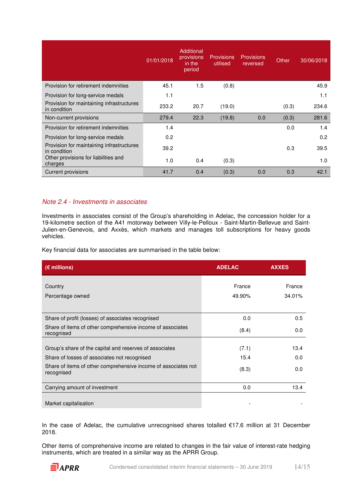|                                                           | 01/01/2018 | Additional<br>provisions<br>in the<br>period | <b>Provisions</b><br>utilised | <b>Provisions</b><br>reversed | Other | 30/06/2018 |
|-----------------------------------------------------------|------------|----------------------------------------------|-------------------------------|-------------------------------|-------|------------|
| Provision for retirement indemnities                      | 45.1       | 1.5                                          | (0.8)                         |                               |       | 45.9       |
| Provision for long-service medals                         | 1.1        |                                              |                               |                               |       | 1.1        |
| Provision for maintaining infrastructures<br>in condition | 233.2      | 20.7                                         | (19.0)                        |                               | (0.3) | 234.6      |
| Non-current provisions                                    | 279.4      | 22.3                                         | (19.8)                        | 0.0                           | (0.3) | 281.6      |
| Provision for retirement indemnities                      | 1.4        |                                              |                               |                               | 0.0   | 1.4        |
| Provision for long-service medals                         | 0.2        |                                              |                               |                               |       | 0.2        |
| Provision for maintaining infrastructures<br>in condition | 39.2       |                                              |                               |                               | 0.3   | 39.5       |
| Other provisions for liabilities and<br>charges           | 1.0        | 0.4                                          | (0.3)                         |                               |       | 1.0        |
| <b>Current provisions</b>                                 | 41.7       | 0.4                                          | (0.3)                         | 0.0                           | 0.3   | 42.1       |

#### Note 2.4 - Investments in associates

Investments in associates consist of the Group's shareholding in Adelac, the concession holder for a 19-kilometre section of the A41 motorway between Villy-le-Pelloux - Saint-Martin-Bellevue and Saint-Julien-en-Genevois, and Axxès, which markets and manages toll subscriptions for heavy goods vehicles.

Key financial data for associates are summarised in the table below:

| $(\epsilon$ millions)                                                        | <b>ADELAC</b> | <b>AXXES</b> |
|------------------------------------------------------------------------------|---------------|--------------|
| Country                                                                      | France        | France       |
| Percentage owned                                                             | 49.90%        | 34.01%       |
|                                                                              |               |              |
| Share of profit (losses) of associates recognised                            | 0.0           | 0.5          |
| Share of items of other comprehensive income of associates<br>recognised     | (8.4)         | 0.0          |
|                                                                              |               |              |
| Group's share of the capital and reserves of associates                      | (7.1)         | 13.4         |
| Share of losses of associates not recognised                                 | 15.4          | 0.0          |
| Share of items of other comprehensive income of associates not<br>recognised | (8.3)         | 0.0          |
| Carrying amount of investment                                                | 0.0           | 13.4         |
| Market capitalisation                                                        |               |              |

In the case of Adelac, the cumulative unrecognised shares totalled €17.6 million at 31 December 2018.

Other items of comprehensive income are related to changes in the fair value of interest-rate hedging instruments, which are treated in a similar way as the APRR Group.